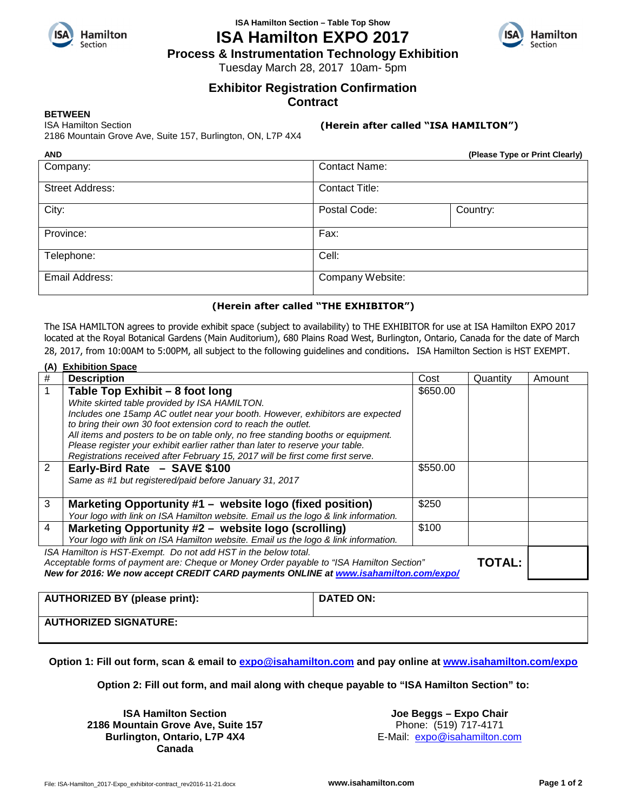

## **ISA Hamilton Section – Table Top Show ISA Hamilton EXPO 2017**



**Process & Instrumentation Technology Exhibition** 

Tuesday March 28, 2017 10am- 5pm

# **Exhibitor Registration Confirmation**

**Contract**

#### **BETWEEN**

ISA Hamilton Section

2186 Mountain Grove Ave, Suite 157, Burlington, ON, L7P 4X4

#### **(Herein after called "ISA HAMILTON")**

| <b>AND</b>             | (Please Type or Print Clearly) |          |  |
|------------------------|--------------------------------|----------|--|
| Company:               | <b>Contact Name:</b>           |          |  |
| <b>Street Address:</b> | <b>Contact Title:</b>          |          |  |
| City:                  | Postal Code:                   | Country: |  |
| Province:              | Fax:                           |          |  |
| Telephone:             | Cell:                          |          |  |
| Email Address:         | Company Website:               |          |  |
|                        |                                |          |  |

### **(Herein after called "THE EXHIBITOR")**

The ISA HAMILTON agrees to provide exhibit space (subject to availability) to THE EXHIBITOR for use at ISA Hamilton EXPO 2017 located at the Royal Botanical Gardens (Main Auditorium), 680 Plains Road West, Burlington, Ontario, Canada for the date of March 28, 2017, from 10:00AM to 5:00PM, all subject to the following guidelines and conditions. ISA Hamilton Section is HST EXEMPT.

|                                                                                                           | (A) Exhibition Space                                                               |          |          |        |  |  |
|-----------------------------------------------------------------------------------------------------------|------------------------------------------------------------------------------------|----------|----------|--------|--|--|
| #                                                                                                         | <b>Description</b>                                                                 | Cost     | Quantity | Amount |  |  |
|                                                                                                           | Table Top Exhibit - 8 foot long                                                    | \$650.00 |          |        |  |  |
|                                                                                                           | White skirted table provided by ISA HAMILTON.                                      |          |          |        |  |  |
|                                                                                                           | Includes one 15amp AC outlet near your booth. However, exhibitors are expected     |          |          |        |  |  |
|                                                                                                           | to bring their own 30 foot extension cord to reach the outlet.                     |          |          |        |  |  |
|                                                                                                           | All items and posters to be on table only, no free standing booths or equipment.   |          |          |        |  |  |
|                                                                                                           | Please register your exhibit earlier rather than later to reserve your table.      |          |          |        |  |  |
|                                                                                                           | Registrations received after February 15, 2017 will be first come first serve.     |          |          |        |  |  |
| $\overline{2}$                                                                                            | Early-Bird Rate - SAVE \$100                                                       | \$550.00 |          |        |  |  |
|                                                                                                           | Same as #1 but registered/paid before January 31, 2017                             |          |          |        |  |  |
|                                                                                                           |                                                                                    |          |          |        |  |  |
| 3                                                                                                         | Marketing Opportunity #1 - website logo (fixed position)                           | \$250    |          |        |  |  |
|                                                                                                           | Your logo with link on ISA Hamilton website. Email us the logo & link information. |          |          |        |  |  |
| 4                                                                                                         | Marketing Opportunity #2 - website logo (scrolling)                                | \$100    |          |        |  |  |
|                                                                                                           | Your logo with link on ISA Hamilton website. Email us the logo & link information. |          |          |        |  |  |
| ISA Hamilton is HST-Exempt. Do not add HST in the below total.                                            |                                                                                    |          |          |        |  |  |
| <b>TOTAL:</b><br>Acceptable forms of payment are: Cheque or Money Order payable to "ISA Hamilton Section" |                                                                                    |          |          |        |  |  |
| New for 2016: We now accept CREDIT CARD payments ONLINE at www.isahamilton.com/expo/                      |                                                                                    |          |          |        |  |  |
|                                                                                                           |                                                                                    |          |          |        |  |  |

| <b>AUTHORIZED BY (please print):</b> | <b>DATED ON:</b> |
|--------------------------------------|------------------|
| <b>AUTHORIZED SIGNATURE:</b>         |                  |

**Option 1: Fill out form, scan & email to expo@isahamilton.com and pay online at www.isahamilton.com/expo** 

**Option 2: Fill out form, and mail along with cheque payable to "ISA Hamilton Section" to:** 

**ISA Hamilton Section 2186 Mountain Grove Ave, Suite 157 Burlington, Ontario, L7P 4X4 Canada** 

**Joe Beggs – Expo Chair** Phone: (519) 717-4171

E-Mail: expo@isahamilton.com